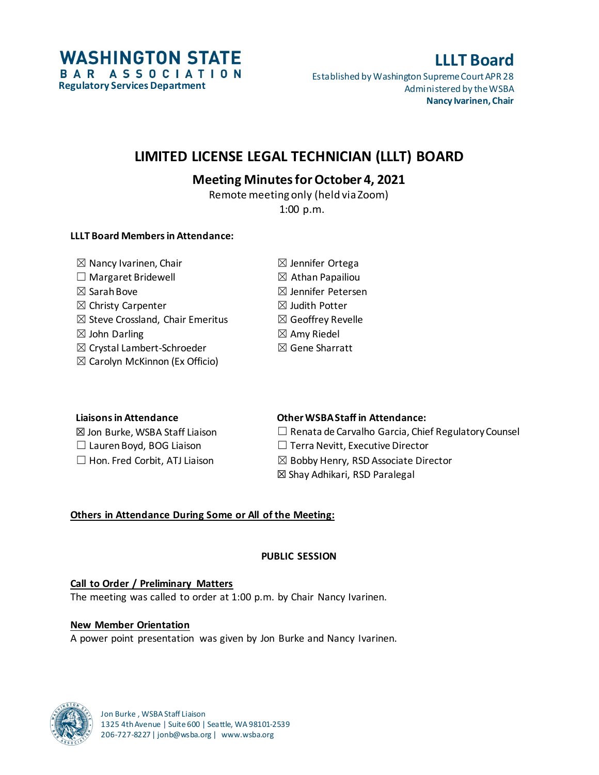**WASHINGTON STATE** BAR ASSOCIATION **Regulatory Services Department**

# **LLLT Board**

Established by Washington Supreme Court APR 28 Administered by the WSBA **Nancy Ivarinen, Chair**

## **LIMITED LICENSE LEGAL TECHNICIAN (LLLT) BOARD**

## **Meeting Minutes for October 4, 2021**

Remote meeting only (held via Zoom) 1:00 p.m.

## **LLLT Board Members in Attendance:**

| $\boxtimes$ Nancy Ivarinen, Chair           | $\boxtimes$ Jennifer Ortega   |
|---------------------------------------------|-------------------------------|
| $\Box$ Margaret Bridewell                   | $\boxtimes$ Athan Papailiou   |
| $\boxtimes$ Sarah Bove                      | $\boxtimes$ Jennifer Petersen |
| $\boxtimes$ Christy Carpenter               | $\boxtimes$ Judith Potter     |
| $\boxtimes$ Steve Crossland, Chair Emeritus | $\boxtimes$ Geoffrey Revelle  |
| $\boxtimes$ John Darling                    | $\boxtimes$ Amy Riedel        |
| $\boxtimes$ Crystal Lambert-Schroeder       | $\boxtimes$ Gene Sharratt     |
| $\boxtimes$ Carolyn McKinnon (Ex Officio)   |                               |

## **Liaisons in Attendance Other WSBA Staff in Attendance:**

☒ Jon Burke, WSBA Staff Liaison ☐ Renata de Carvalho Garcia, Chief Regulatory Counsel ☐ Lauren Boyd, BOG Liaison ☐ Terra Nevitt, Executive Director  $\Box$  Hon. Fred Corbit, ATJ Liaison  $\boxtimes$  Bobby Henry, RSD Associate Director ☒ Shay Adhikari, RSD Paralegal

## **Others in Attendance During Some or All of the Meeting:**

## **PUBLIC SESSION**

## **Call to Order / Preliminary Matters**

The meeting was called to order at 1:00 p.m. by Chair Nancy Ivarinen.

## **New Member Orientation**

A power point presentation was given by Jon Burke and Nancy Ivarinen.

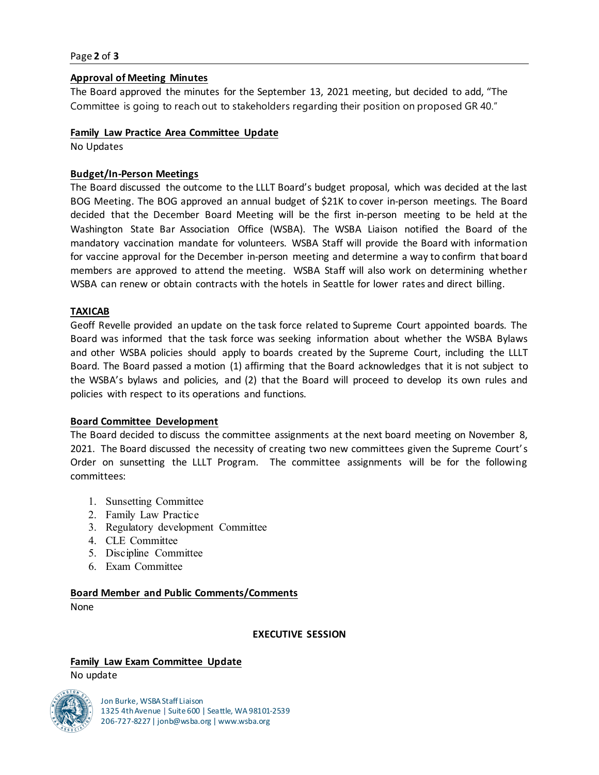#### Page **2** of **3**

#### **Approval of Meeting Minutes**

The Board approved the minutes for the September 13, 2021 meeting, but decided to add, "The Committee is going to reach out to stakeholders regarding their position on proposed GR 40."

#### **Family Law Practice Area Committee Update**

No Updates

#### **Budget/In-Person Meetings**

The Board discussed the outcome to the LLLT Board's budget proposal, which was decided at the last BOG Meeting. The BOG approved an annual budget of \$21K to cover in-person meetings. The Board decided that the December Board Meeting will be the first in-person meeting to be held at the Washington State Bar Association Office (WSBA). The WSBA Liaison notified the Board of the mandatory vaccination mandate for volunteers. WSBA Staff will provide the Board with information for vaccine approval for the December in-person meeting and determine a way to confirm that board members are approved to attend the meeting. WSBA Staff will also work on determining whether WSBA can renew or obtain contracts with the hotels in Seattle for lower rates and direct billing.

#### **TAXICAB**

Geoff Revelle provided an update on the task force related to Supreme Court appointed boards. The Board was informed that the task force was seeking information about whether the WSBA Bylaws and other WSBA policies should apply to boards created by the Supreme Court, including the LLLT Board. The Board passed a motion (1) affirming that the Board acknowledges that it is not subject to the WSBA's bylaws and policies, and (2) that the Board will proceed to develop its own rules and policies with respect to its operations and functions.

#### **Board Committee Development**

The Board decided to discuss the committee assignments at the next board meeting on November 8, 2021. The Board discussed the necessity of creating two new committees given the Supreme Court's Order on sunsetting the LLLT Program. The committee assignments will be for the following committees:

- 1. Sunsetting Committee
- 2. Family Law Practice
- 3. Regulatory development Committee
- 4. CLE Committee
- 5. Discipline Committee
- 6. Exam Committee

#### **Board Member and Public Comments/Comments**

None

**EXECUTIVE SESSION**

#### **Family Law Exam Committee Update** No update